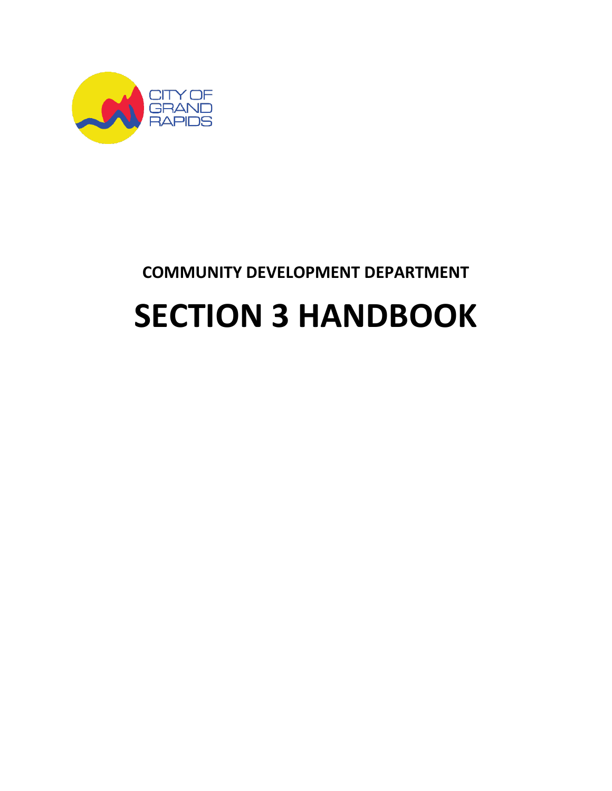

# **COMMUNITY DEVELOPMENT DEPARTMENT**

# **SECTION 3 HANDBOOK**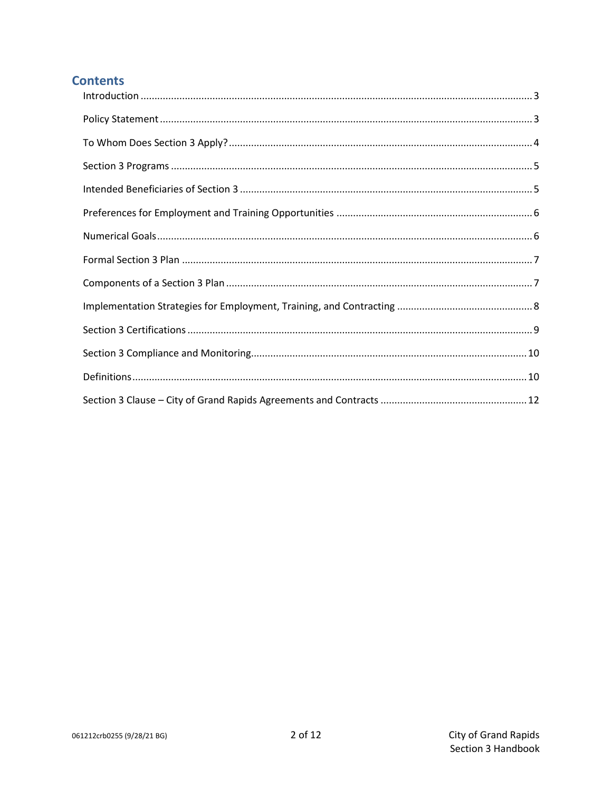#### **Contents**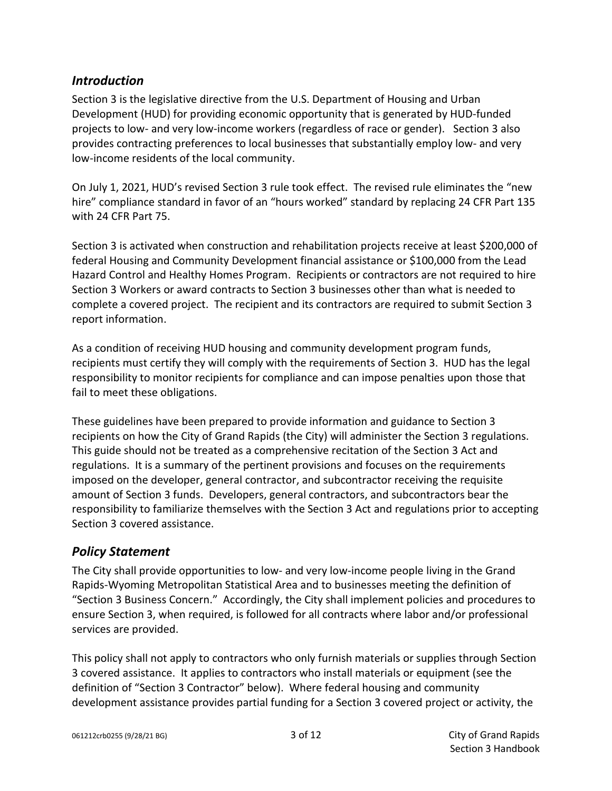#### <span id="page-2-0"></span>*Introduction*

Section 3 is the legislative directive from the U.S. Department of Housing and Urban Development (HUD) for providing economic opportunity that is generated by HUD-funded projects to low- and very low-income workers (regardless of race or gender). Section 3 also provides contracting preferences to local businesses that substantially employ low- and very low-income residents of the local community.

On July 1, 2021, HUD's revised Section 3 rule took effect. The revised rule eliminates the "new hire" compliance standard in favor of an "hours worked" standard by replacing 24 CFR Part 135 with 24 CFR Part 75.

Section 3 is activated when construction and rehabilitation projects receive at least \$200,000 of federal Housing and Community Development financial assistance or \$100,000 from the Lead Hazard Control and Healthy Homes Program. Recipients or contractors are not required to hire Section 3 Workers or award contracts to Section 3 businesses other than what is needed to complete a covered project. The recipient and its contractors are required to submit Section 3 report information.

As a condition of receiving HUD housing and community development program funds, recipients must certify they will comply with the requirements of Section 3. HUD has the legal responsibility to monitor recipients for compliance and can impose penalties upon those that fail to meet these obligations.

These guidelines have been prepared to provide information and guidance to Section 3 recipients on how the City of Grand Rapids (the City) will administer the Section 3 regulations. This guide should not be treated as a comprehensive recitation of the Section 3 Act and regulations. It is a summary of the pertinent provisions and focuses on the requirements imposed on the developer, general contractor, and subcontractor receiving the requisite amount of Section 3 funds. Developers, general contractors, and subcontractors bear the responsibility to familiarize themselves with the Section 3 Act and regulations prior to accepting Section 3 covered assistance.

#### <span id="page-2-1"></span>*Policy Statement*

The City shall provide opportunities to low- and very low-income people living in the Grand Rapids-Wyoming Metropolitan Statistical Area and to businesses meeting the definition of "Section 3 Business Concern." Accordingly, the City shall implement policies and procedures to ensure Section 3, when required, is followed for all contracts where labor and/or professional services are provided.

This policy shall not apply to contractors who only furnish materials or supplies through Section 3 covered assistance. It applies to contractors who install materials or equipment (see the definition of "Section 3 Contractor" below). Where federal housing and community development assistance provides partial funding for a Section 3 covered project or activity, the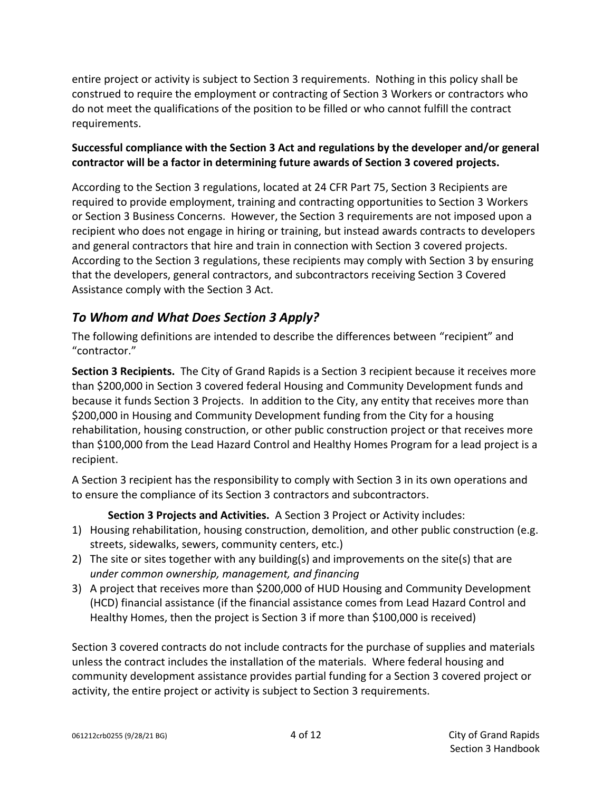entire project or activity is subject to Section 3 requirements. Nothing in this policy shall be construed to require the employment or contracting of Section 3 Workers or contractors who do not meet the qualifications of the position to be filled or who cannot fulfill the contract requirements.

#### **Successful compliance with the Section 3 Act and regulations by the developer and/or general contractor will be a factor in determining future awards of Section 3 covered projects.**

According to the Section 3 regulations, located at 24 CFR Part 75, Section 3 Recipients are required to provide employment, training and contracting opportunities to Section 3 Workers or Section 3 Business Concerns. However, the Section 3 requirements are not imposed upon a recipient who does not engage in hiring or training, but instead awards contracts to developers and general contractors that hire and train in connection with Section 3 covered projects. According to the Section 3 regulations, these recipients may comply with Section 3 by ensuring that the developers, general contractors, and subcontractors receiving Section 3 Covered Assistance comply with the Section 3 Act.

### <span id="page-3-0"></span>*To Whom and What Does Section 3 Apply?*

The following definitions are intended to describe the differences between "recipient" and "contractor."

**Section 3 Recipients.** The City of Grand Rapids is a Section 3 recipient because it receives more than \$200,000 in Section 3 covered federal Housing and Community Development funds and because it funds Section 3 Projects. In addition to the City, any entity that receives more than \$200,000 in Housing and Community Development funding from the City for a housing rehabilitation, housing construction, or other public construction project or that receives more than \$100,000 from the Lead Hazard Control and Healthy Homes Program for a lead project is a recipient.

A Section 3 recipient has the responsibility to comply with Section 3 in its own operations and to ensure the compliance of its Section 3 contractors and subcontractors.

**Section 3 Projects and Activities.** A Section 3 Project or Activity includes:

- 1) Housing rehabilitation, housing construction, demolition, and other public construction (e.g. streets, sidewalks, sewers, community centers, etc.)
- 2) The site or sites together with any building(s) and improvements on the site(s) that are *under common ownership, management, and financing*
- 3) A project that receives more than \$200,000 of HUD Housing and Community Development (HCD) financial assistance (if the financial assistance comes from Lead Hazard Control and Healthy Homes, then the project is Section 3 if more than \$100,000 is received)

Section 3 covered contracts do not include contracts for the purchase of supplies and materials unless the contract includes the installation of the materials. Where federal housing and community development assistance provides partial funding for a Section 3 covered project or activity, the entire project or activity is subject to Section 3 requirements.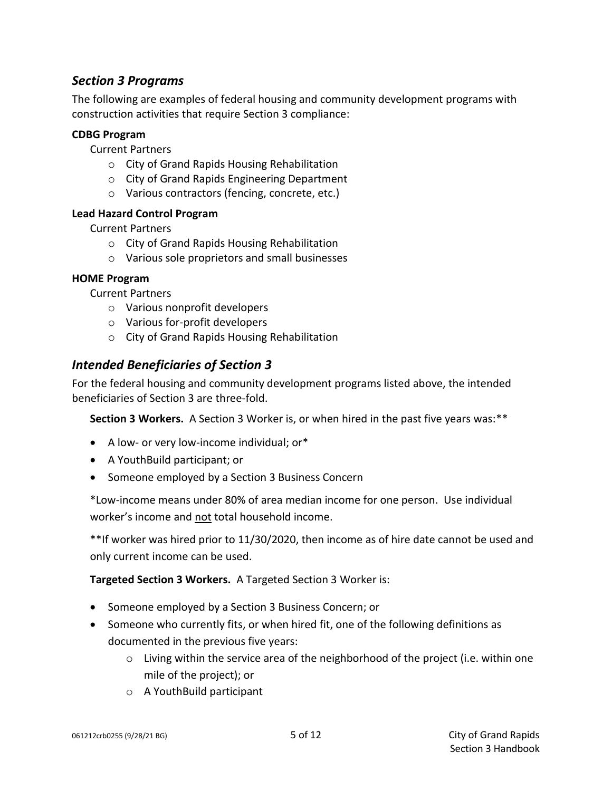#### <span id="page-4-0"></span>*Section 3 Programs*

The following are examples of federal housing and community development programs with construction activities that require Section 3 compliance:

#### **CDBG Program**

Current Partners

- o City of Grand Rapids Housing Rehabilitation
- o City of Grand Rapids Engineering Department
- o Various contractors (fencing, concrete, etc.)

#### **Lead Hazard Control Program**

Current Partners

- o City of Grand Rapids Housing Rehabilitation
- o Various sole proprietors and small businesses

#### **HOME Program**

Current Partners

- o Various nonprofit developers
- o Various for-profit developers
- o City of Grand Rapids Housing Rehabilitation

#### <span id="page-4-1"></span>*Intended Beneficiaries of Section 3*

For the federal housing and community development programs listed above, the intended beneficiaries of Section 3 are three-fold.

**Section 3 Workers.** A Section 3 Worker is, or when hired in the past five years was:\*\*

- A low- or very low-income individual; or\*
- A YouthBuild participant; or
- Someone employed by a Section 3 Business Concern

\*Low-income means under 80% of area median income for one person. Use individual worker's income and not total household income.

\*\*If worker was hired prior to 11/30/2020, then income as of hire date cannot be used and only current income can be used.

**Targeted Section 3 Workers.** A Targeted Section 3 Worker is:

- Someone employed by a Section 3 Business Concern; or
- Someone who currently fits, or when hired fit, one of the following definitions as documented in the previous five years:
	- o Living within the service area of the neighborhood of the project (i.e. within one mile of the project); or
	- o A YouthBuild participant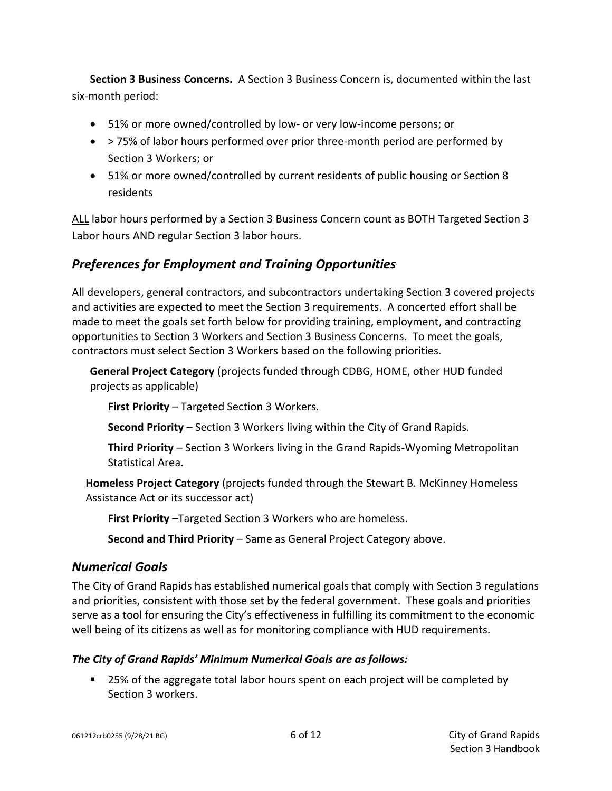**Section 3 Business Concerns.** A Section 3 Business Concern is, documented within the last six-month period:

- 51% or more owned/controlled by low- or very low-income persons; or
- > 75% of labor hours performed over prior three-month period are performed by Section 3 Workers; or
- 51% or more owned/controlled by current residents of public housing or Section 8 residents

ALL labor hours performed by a Section 3 Business Concern count as BOTH Targeted Section 3 Labor hours AND regular Section 3 labor hours.

#### <span id="page-5-0"></span>*Preferences for Employment and Training Opportunities*

All developers, general contractors, and subcontractors undertaking Section 3 covered projects and activities are expected to meet the Section 3 requirements. A concerted effort shall be made to meet the goals set forth below for providing training, employment, and contracting opportunities to Section 3 Workers and Section 3 Business Concerns. To meet the goals, contractors must select Section 3 Workers based on the following priorities.

**General Project Category** (projects funded through CDBG, HOME, other HUD funded projects as applicable)

**First Priority** – Targeted Section 3 Workers.

**Second Priority** – Section 3 Workers living within the City of Grand Rapids.

**Third Priority** – Section 3 Workers living in the Grand Rapids-Wyoming Metropolitan Statistical Area.

**Homeless Project Category** (projects funded through the Stewart B. McKinney Homeless Assistance Act or its successor act)

**First Priority** –Targeted Section 3 Workers who are homeless.

**Second and Third Priority** – Same as General Project Category above.

#### <span id="page-5-1"></span>*Numerical Goals*

The City of Grand Rapids has established numerical goals that comply with Section 3 regulations and priorities, consistent with those set by the federal government. These goals and priorities serve as a tool for ensuring the City's effectiveness in fulfilling its commitment to the economic well being of its citizens as well as for monitoring compliance with HUD requirements.

#### *The City of Grand Rapids' Minimum Numerical Goals are as follows:*

■ 25% of the aggregate total labor hours spent on each project will be completed by Section 3 workers.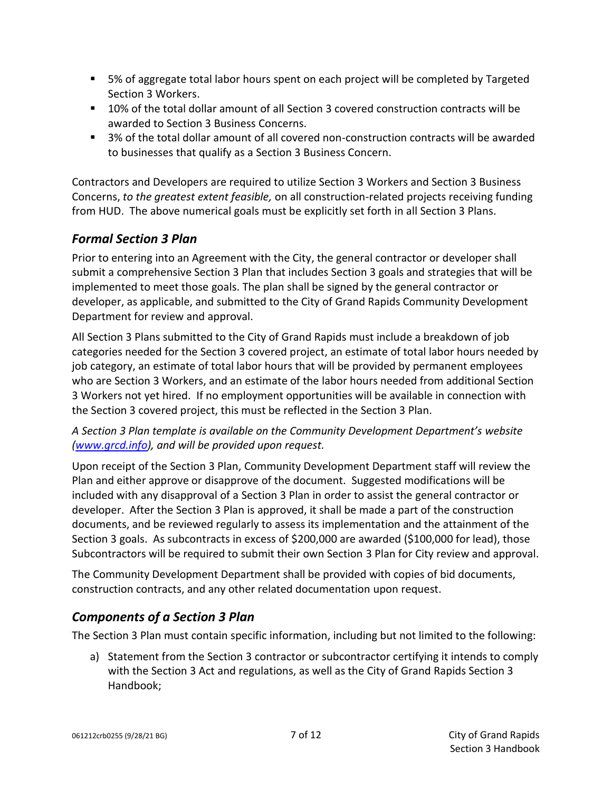- 5% of aggregate total labor hours spent on each project will be completed by Targeted Section 3 Workers.
- 10% of the total dollar amount of all Section 3 covered construction contracts will be awarded to Section 3 Business Concerns.
- 3% of the total dollar amount of all covered non-construction contracts will be awarded to businesses that qualify as a Section 3 Business Concern.

Contractors and Developers are required to utilize Section 3 Workers and Section 3 Business Concerns, *to the greatest extent feasible,* on all construction-related projects receiving funding from HUD. The above numerical goals must be explicitly set forth in all Section 3 Plans.

# <span id="page-6-0"></span>*Formal Section 3 Plan*

Prior to entering into an Agreement with the City, the general contractor or developer shall submit a comprehensive Section 3 Plan that includes Section 3 goals and strategies that will be implemented to meet those goals. The plan shall be signed by the general contractor or developer, as applicable, and submitted to the City of Grand Rapids Community Development Department for review and approval.

All Section 3 Plans submitted to the City of Grand Rapids must include a breakdown of job categories needed for the Section 3 covered project, an estimate of total labor hours needed by job category, an estimate of total labor hours that will be provided by permanent employees who are Section 3 Workers, and an estimate of the labor hours needed from additional Section 3 Workers not yet hired. If no employment opportunities will be available in connection with the Section 3 covered project, this must be reflected in the Section 3 Plan.

*A Section 3 Plan template is available on the Community Development Department's website [\(www.grcd.info\)](http://www.grcd.info/), and will be provided upon request.*

Upon receipt of the Section 3 Plan, Community Development Department staff will review the Plan and either approve or disapprove of the document. Suggested modifications will be included with any disapproval of a Section 3 Plan in order to assist the general contractor or developer. After the Section 3 Plan is approved, it shall be made a part of the construction documents, and be reviewed regularly to assess its implementation and the attainment of the Section 3 goals. As subcontracts in excess of \$200,000 are awarded (\$100,000 for lead), those Subcontractors will be required to submit their own Section 3 Plan for City review and approval.

The Community Development Department shall be provided with copies of bid documents, construction contracts, and any other related documentation upon request.

# <span id="page-6-1"></span>*Components of a Section 3 Plan*

The Section 3 Plan must contain specific information, including but not limited to the following:

a) Statement from the Section 3 contractor or subcontractor certifying it intends to comply with the Section 3 Act and regulations, as well as the City of Grand Rapids Section 3 Handbook;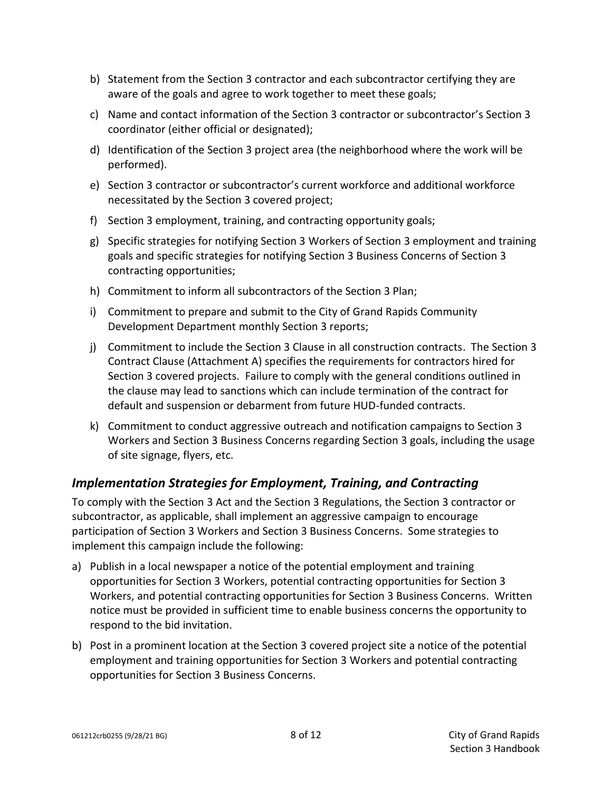- b) Statement from the Section 3 contractor and each subcontractor certifying they are aware of the goals and agree to work together to meet these goals;
- c) Name and contact information of the Section 3 contractor or subcontractor's Section 3 coordinator (either official or designated);
- d) Identification of the Section 3 project area (the neighborhood where the work will be performed).
- e) Section 3 contractor or subcontractor's current workforce and additional workforce necessitated by the Section 3 covered project;
- f) Section 3 employment, training, and contracting opportunity goals;
- g) Specific strategies for notifying Section 3 Workers of Section 3 employment and training goals and specific strategies for notifying Section 3 Business Concerns of Section 3 contracting opportunities;
- h) Commitment to inform all subcontractors of the Section 3 Plan;
- i) Commitment to prepare and submit to the City of Grand Rapids Community Development Department monthly Section 3 reports;
- j) Commitment to include the Section 3 Clause in all construction contracts. The Section 3 Contract Clause (Attachment A) specifies the requirements for contractors hired for Section 3 covered projects. Failure to comply with the general conditions outlined in the clause may lead to sanctions which can include termination of the contract for default and suspension or debarment from future HUD-funded contracts.
- k) Commitment to conduct aggressive outreach and notification campaigns to Section 3 Workers and Section 3 Business Concerns regarding Section 3 goals, including the usage of site signage, flyers, etc.

#### <span id="page-7-0"></span>*Implementation Strategies for Employment, Training, and Contracting*

To comply with the Section 3 Act and the Section 3 Regulations, the Section 3 contractor or subcontractor, as applicable, shall implement an aggressive campaign to encourage participation of Section 3 Workers and Section 3 Business Concerns. Some strategies to implement this campaign include the following:

- a) Publish in a local newspaper a notice of the potential employment and training opportunities for Section 3 Workers, potential contracting opportunities for Section 3 Workers, and potential contracting opportunities for Section 3 Business Concerns. Written notice must be provided in sufficient time to enable business concerns the opportunity to respond to the bid invitation.
- b) Post in a prominent location at the Section 3 covered project site a notice of the potential employment and training opportunities for Section 3 Workers and potential contracting opportunities for Section 3 Business Concerns.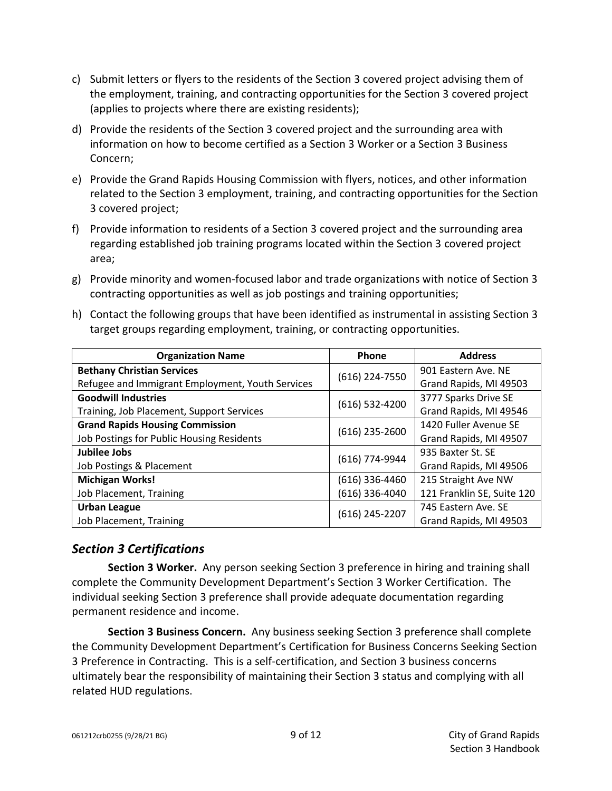- c) Submit letters or flyers to the residents of the Section 3 covered project advising them of the employment, training, and contracting opportunities for the Section 3 covered project (applies to projects where there are existing residents);
- d) Provide the residents of the Section 3 covered project and the surrounding area with information on how to become certified as a Section 3 Worker or a Section 3 Business Concern;
- e) Provide the Grand Rapids Housing Commission with flyers, notices, and other information related to the Section 3 employment, training, and contracting opportunities for the Section 3 covered project;
- f) Provide information to residents of a Section 3 covered project and the surrounding area regarding established job training programs located within the Section 3 covered project area;
- g) Provide minority and women-focused labor and trade organizations with notice of Section 3 contracting opportunities as well as job postings and training opportunities;
- h) Contact the following groups that have been identified as instrumental in assisting Section 3 target groups regarding employment, training, or contracting opportunities.

| <b>Organization Name</b>                         | Phone            | <b>Address</b>             |
|--------------------------------------------------|------------------|----------------------------|
| <b>Bethany Christian Services</b>                | (616) 224-7550   | 901 Eastern Ave. NE        |
| Refugee and Immigrant Employment, Youth Services |                  | Grand Rapids, MI 49503     |
| <b>Goodwill Industries</b>                       | $(616)$ 532-4200 | 3777 Sparks Drive SE       |
| Training, Job Placement, Support Services        |                  | Grand Rapids, MI 49546     |
| <b>Grand Rapids Housing Commission</b>           | (616) 235-2600   | 1420 Fuller Avenue SE      |
| Job Postings for Public Housing Residents        |                  | Grand Rapids, MI 49507     |
| Jubilee Jobs                                     | (616) 774-9944   | 935 Baxter St. SE          |
| Job Postings & Placement                         |                  | Grand Rapids, MI 49506     |
| <b>Michigan Works!</b>                           | (616) 336-4460   | 215 Straight Ave NW        |
| Job Placement, Training                          | (616) 336-4040   | 121 Franklin SE, Suite 120 |
| <b>Urban League</b>                              | (616) 245-2207   | 745 Eastern Ave. SE        |
| Job Placement, Training                          |                  | Grand Rapids, MI 49503     |

#### <span id="page-8-0"></span>*Section 3 Certifications*

**Section 3 Worker.** Any person seeking Section 3 preference in hiring and training shall complete the Community Development Department's Section 3 Worker Certification. The individual seeking Section 3 preference shall provide adequate documentation regarding permanent residence and income.

**Section 3 Business Concern.** Any business seeking Section 3 preference shall complete the Community Development Department's Certification for Business Concerns Seeking Section 3 Preference in Contracting. This is a self-certification, and Section 3 business concerns ultimately bear the responsibility of maintaining their Section 3 status and complying with all related HUD regulations.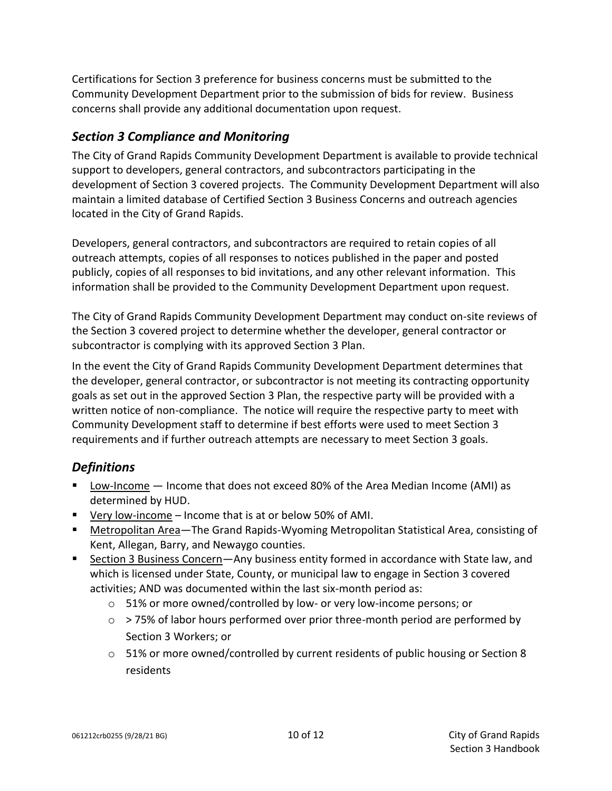Certifications for Section 3 preference for business concerns must be submitted to the Community Development Department prior to the submission of bids for review. Business concerns shall provide any additional documentation upon request.

#### <span id="page-9-0"></span>*Section 3 Compliance and Monitoring*

The City of Grand Rapids Community Development Department is available to provide technical support to developers, general contractors, and subcontractors participating in the development of Section 3 covered projects. The Community Development Department will also maintain a limited database of Certified Section 3 Business Concerns and outreach agencies located in the City of Grand Rapids.

Developers, general contractors, and subcontractors are required to retain copies of all outreach attempts, copies of all responses to notices published in the paper and posted publicly, copies of all responses to bid invitations, and any other relevant information. This information shall be provided to the Community Development Department upon request.

The City of Grand Rapids Community Development Department may conduct on-site reviews of the Section 3 covered project to determine whether the developer, general contractor or subcontractor is complying with its approved Section 3 Plan.

In the event the City of Grand Rapids Community Development Department determines that the developer, general contractor, or subcontractor is not meeting its contracting opportunity goals as set out in the approved Section 3 Plan, the respective party will be provided with a written notice of non-compliance. The notice will require the respective party to meet with Community Development staff to determine if best efforts were used to meet Section 3 requirements and if further outreach attempts are necessary to meet Section 3 goals.

# <span id="page-9-1"></span>*Definitions*

- **E** Low-Income Income that does not exceed 80% of the Area Median Income (AMI) as determined by HUD.
- Very low-income Income that is at or below 50% of AMI.
- Metropolitan Area—The Grand Rapids-Wyoming Metropolitan Statistical Area, consisting of Kent, Allegan, Barry, and Newaygo counties.
- Section 3 Business Concern-Any business entity formed in accordance with State law, and which is licensed under State, County, or municipal law to engage in Section 3 covered activities; AND was documented within the last six-month period as:
	- o 51% or more owned/controlled by low- or very low-income persons; or
	- $\circ$  > 75% of labor hours performed over prior three-month period are performed by Section 3 Workers; or
	- $\circ$  51% or more owned/controlled by current residents of public housing or Section 8 residents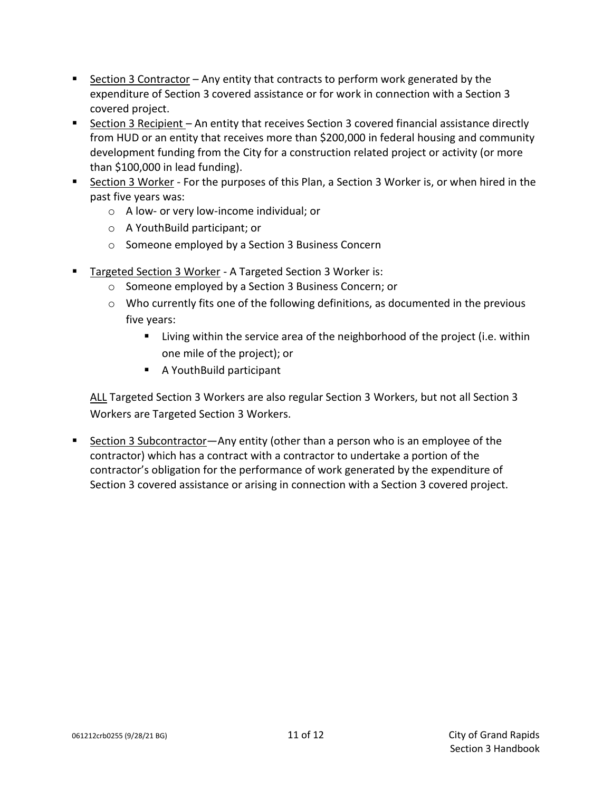- **EXECT** Section 3 Contractor Any entity that contracts to perform work generated by the expenditure of Section 3 covered assistance or for work in connection with a Section 3 covered project.
- Section 3 Recipient An entity that receives Section 3 covered financial assistance directly from HUD or an entity that receives more than \$200,000 in federal housing and community development funding from the City for a construction related project or activity (or more than \$100,000 in lead funding).
- Section 3 Worker For the purposes of this Plan, a Section 3 Worker is, or when hired in the past five years was:
	- o A low- or very low-income individual; or
	- o A YouthBuild participant; or
	- o Someone employed by a Section 3 Business Concern
- Targeted Section 3 Worker A Targeted Section 3 Worker is:
	- o Someone employed by a Section 3 Business Concern; or
	- $\circ$  Who currently fits one of the following definitions, as documented in the previous five years:
		- Living within the service area of the neighborhood of the project (i.e. within one mile of the project); or
		- A YouthBuild participant

ALL Targeted Section 3 Workers are also regular Section 3 Workers, but not all Section 3 Workers are Targeted Section 3 Workers.

<span id="page-10-0"></span>■ Section 3 Subcontractor—Any entity (other than a person who is an employee of the contractor) which has a contract with a contractor to undertake a portion of the contractor's obligation for the performance of work generated by the expenditure of Section 3 covered assistance or arising in connection with a Section 3 covered project.